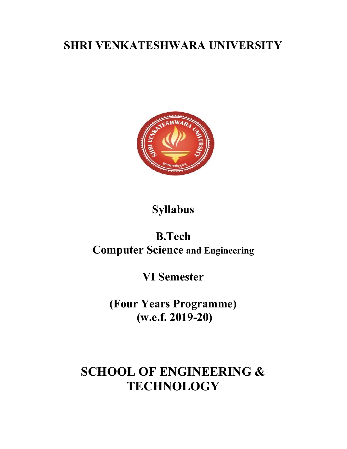# SHRI VENKATESHWARA UNIVERSITY



# Syllabus

# B.Tech Computer Science and Engineering

# VI Semester

(Four Years Programme) (w.e.f. 2019-20)

# SCHOOL OF ENGINEERING & **TECHNOLOGY**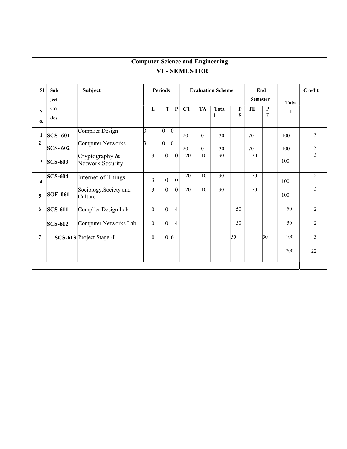|                |                |                                    |                |                 |                  |                          |                    | <b>Computer Science and Engineering</b> |                 |    |                        |               |                |
|----------------|----------------|------------------------------------|----------------|-----------------|------------------|--------------------------|--------------------|-----------------------------------------|-----------------|----|------------------------|---------------|----------------|
|                |                |                                    |                |                 |                  |                          | <b>VI-SEMESTER</b> |                                         |                 |    |                        |               |                |
| SI             | Sub<br>ject    | Subject                            | <b>Periods</b> |                 |                  | <b>Evaluation Scheme</b> |                    |                                         | End<br>Semester |    | <b>Tota</b>            | <b>Credit</b> |                |
| N<br>0.        | Co<br>des      |                                    | L              | T               | $\mathbf P$      | <b>CT</b>                | <b>TA</b>          | Tota<br>-1                              | P<br>${\bf S}$  | TE | ${\bf P}$<br>${\bf E}$ |               |                |
| $\mathbf{1}$   | <b>SCS-601</b> | Complier Design                    | k              | $\vert 0 \vert$ | $\vert 0 \vert$  | 20                       | $10\,$             | 30                                      |                 | 70 |                        | 100           | 3              |
| $\overline{2}$ | <b>SCS-602</b> | Computer Networks                  | $\mathbf{E}$   | $\bf{0}$        | $\vert 0 \vert$  | 20                       | 10                 | 30                                      |                 | 70 |                        | 100           | $\mathfrak{Z}$ |
| 3              | <b>SCS-603</b> | Cryptography &<br>Network Security | $\overline{3}$ | $\theta$        | $\boldsymbol{0}$ | $\overline{20}$          | $\overline{10}$    | 30                                      |                 | 70 |                        | 100           | $\overline{3}$ |
| 4              | <b>SCS-604</b> | Internet-of-Things                 | $\overline{3}$ | $\overline{0}$  | $\boldsymbol{0}$ | $\overline{20}$          | $\overline{10}$    | 30                                      |                 | 70 |                        | 100           | $\mathfrak{Z}$ |
| 5              | <b>SOE-061</b> | Sociology, Society and<br>Culture  | $\overline{3}$ | $\overline{0}$  | $\mathbf{0}$     | 20                       | $10\,$             | 30                                      |                 | 70 |                        | 100           | $\mathfrak{Z}$ |
| 6              | $SCS-611$      | Complier Design Lab                | $\mathbf{0}$   | $\overline{0}$  | $\overline{4}$   |                          |                    |                                         | 50              |    |                        | 50            | $\overline{2}$ |
|                | $SCS-612$      | Computer Networks Lab              | $\mathbf{0}$   | $\overline{0}$  | $\overline{4}$   |                          |                    |                                         | 50              |    |                        | 50            | $\overline{2}$ |
| $\overline{7}$ |                | SCS-613 Project Stage -I           | $\overline{0}$ |                 | $0\vert 6$       |                          |                    |                                         | 50 <sup>°</sup> |    | 50                     | 100           | $\overline{3}$ |
|                |                |                                    |                |                 |                  |                          |                    |                                         |                 |    |                        | 700           | 22             |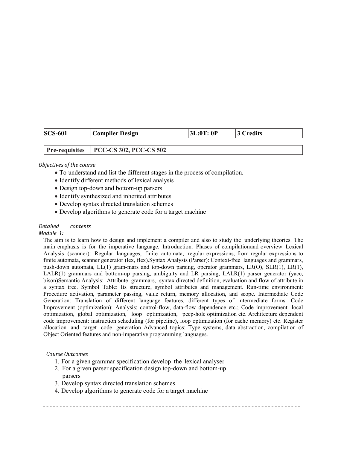| <b>SCS-601</b> | <b>Complier Design</b>                  | 3L:0T:0P | 3 Credits |
|----------------|-----------------------------------------|----------|-----------|
|                |                                         |          |           |
|                | Pre-requisites   PCC-CS 302, PCC-CS 502 |          |           |

#### Objectives of the course

- To understand and list the different stages in the process of compilation.
- Identify different methods of lexical analysis
- Design top-down and bottom-up parsers
- Identify synthesized and inherited attributes
- Develop syntax directed translation schemes
- Develop algorithms to generate code for a target machine

#### Detailed contents

#### Module 1:

The aim is to learn how to design and implement a compiler and also to study the underlying theories. The main emphasis is for the imperative language. Introduction: Phases of compilation and overview. Lexical Analysis (scanner): Regular languages, finite automata, regular expressions, from regular expressions to finite automata, scanner generator (lex, flex).Syntax Analysis (Parser): Context-free languages and grammars, push-down automata, LL(1) gram-mars and top-down parsing, operator grammars, LR(O), SLR(1), LR(1), LALR(1) grammars and bottom-up parsing, ambiguity and LR parsing, LALR(1) parser generator (yacc, bison)Semantic Analysis: Attribute grammars, syntax directed definition, evaluation and flow of attribute in a syntax tree. Symbol Table: Its structure, symbol attributes and management. Run-time environment: Procedure activation, parameter passing, value return, memory allocation, and scope. Intermediate Code Generation: Translation of different language features, different types of intermediate forms. Code Improvement (optimization): Analysis: control-flow, data-flow dependence etc.; Code improvement local optimization, global optimization, loop optimization, peep-hole optimization etc. Architecture dependent code improvement: instruction scheduling (for pipeline), loop optimization (for cache memory) etc. Register allocation and target code generation Advanced topics: Type systems, data abstraction, compilation of Object Oriented features and non-imperative programming languages.

#### Course Outcomes

- 1. For a given grammar specification develop the lexical analyser
- 2. For a given parser specification design top-down and bottom-up parsers
- 3. Develop syntax directed translation schemes
- 4. Develop algorithms to generate code for a target machine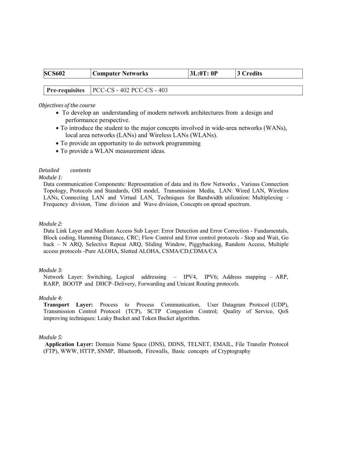| <b>SCS602</b> | <b>Computer Networks</b>                                 | 3L:0T:0P | 3 Credits |
|---------------|----------------------------------------------------------|----------|-----------|
|               |                                                          |          |           |
|               | $\vert$ Pre-requisites $\vert$ PCC-CS - 402 PCC-CS - 403 |          |           |

#### Objectives of the course

- To develop an understanding of modern network architectures from a design and performance perspective.
- To introduce the student to the major concepts involved in wide-area networks (WANs), local area networks (LANs) and Wireless LANs (WLANs).
- To provide an opportunity to do network programming
- To provide a WLAN measurement ideas.

#### Detailed contents

#### Module 1:

Data communication Components: Representation of data and its flow Networks , Various Connection Topology, Protocols and Standards, OSI model, Transmission Media, LAN: Wired LAN, Wireless LANs, Connecting LAN and Virtual LAN, Techniques for Bandwidth utilization: Multiplexing - Frequency division, Time division and Wave division, Concepts on spread spectrum.

#### Module 2:

Data Link Layer and Medium Access Sub Layer: Error Detection and Error Correction - Fundamentals, Block coding, Hamming Distance, CRC; Flow Control and Error control protocols - Stop and Wait, Go back – N ARQ, Selective Repeat ARQ, Sliding Window, Piggybacking, Random Access, Multiple access protocols -Pure ALOHA, Slotted ALOHA, CSMA/CD,CDMA/CA

#### Module 3:

Network Layer: Switching, Logical addressing – IPV4, IPV6; Address mapping – ARP, RARP, BOOTP and DHCP–Delivery, Forwarding and Unicast Routing protocols.

#### Module 4:

Transport Layer: Process to Process Communication, User Datagram Protocol (UDP), Transmission Control Protocol (TCP), SCTP Congestion Control; Quality of Service, QoS improving techniques: Leaky Bucket and Token Bucket algorithm.

#### Module 5:

Application Layer: Domain Name Space (DNS), DDNS, TELNET, EMAIL, File Transfer Protocol (FTP), WWW, HTTP, SNMP, Bluetooth, Firewalls, Basic concepts of Cryptography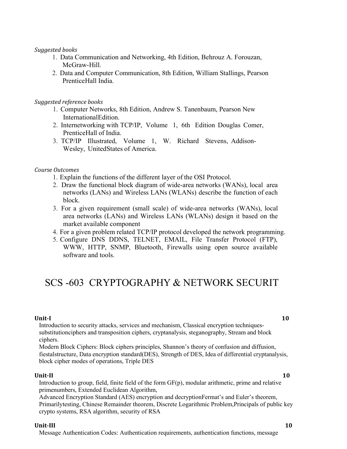#### Suggested books

- 1. Data Communication and Networking, 4th Edition, Behrouz A. Forouzan, McGraw-Hill.
- 2. Data and Computer Communication, 8th Edition, William Stallings, Pearson Prentice Hall India.

Suggested reference books

- 1. Computer Networks, 8th Edition, Andrew S. Tanenbaum, Pearson New International Edition.
- 2. Internetworking with TCP/IP, Volume 1, 6th Edition Douglas Comer, Prentice Hall of India.
- 3. TCP/IP Illustrated, Volume 1, W. Richard Stevens, Addison-Wesley, United States of America.

#### Course Outcomes

- 1. Explain the functions of the different layer of the OSI Protocol.
- 2. Draw the functional block diagram of wide-area networks (WANs), local area networks (LANs) and Wireless LANs (WLANs) describe the function of each block.
- 3. For a given requirement (small scale) of wide-area networks (WANs), local area networks (LANs) and Wireless LANs (WLANs) design it based on the market available component
- 4. For a given problem related TCP/IP protocol developed the network programming.
- 5. Configure DNS DDNS, TELNET, EMAIL, File Transfer Protocol (FTP), WWW, HTTP, SNMP, Bluetooth, Firewalls using open source available software and tools.

### SCS -603 CRYPTOGRAPHY & NETWORK SECURIT

#### Unit-I  $\qquad \qquad \qquad$  10

Introduction to security attacks, services and mechanism, Classical encryption techniquessubstitution ciphers and transposition ciphers, cryptanalysis, steganography, Stream and block ciphers.

Modern Block Ciphers: Block ciphers principles, Shannon's theory of confusion and diffusion, fiestal structure, Data encryption standard(DES), Strength of DES, Idea of differential cryptanalysis, block cipher modes of operations, Triple DES

#### Unit-II and the contract of the contract of the contract of the contract of the contract of the contract of the contract of the contract of the contract of the contract of the contract of the contract of the contract of th

Introduction to group, field, finite field of the form GF(p), modular arithmetic, prime and relative primenumbers, Extended Euclidean Algorithm,

Advanced Encryption Standard (AES) encryption and decryptionFermat's and Euler's theorem, Primarily testing, Chinese Remainder theorem, Discrete Logarithmic Problem,Principals of public key crypto systems, RSA algorithm, security of RSA

#### Unit-III 10

Message Authentication Codes: Authentication requirements, authentication functions, message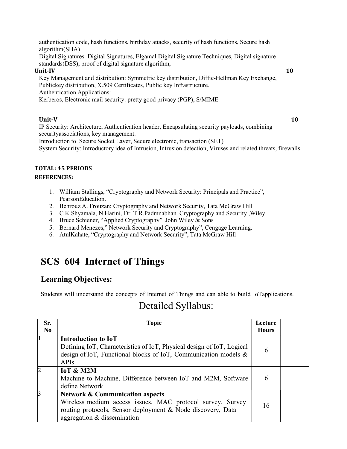authentication code, hash functions, birthday attacks, security of hash functions, Secure hash algorithm (SHA)

Digital Signatures: Digital Signatures, Elgamal Digital Signature Techniques, Digital signature standards (DSS), proof of digital signature algorithm,

#### Unit-IV 10

Key Management and distribution: Symmetric key distribution, Diffie-Hellman Key Exchange, Publickey distribution, X.509 Certificates, Public key Infrastructure. Authentication Applications:

Kerberos, Electronic mail security: pretty good privacy (PGP), S/MIME.

#### Unit-V  $10$

IP Security: Architecture, Authentication header, Encapsulating security payloads, combining security associations, key management.

Introduction to Secure Socket Layer, Secure electronic, transaction (SET) System Security: Introductory idea of Intrusion, Intrusion detection, Viruses and related threats, firewalls

### TOTAL: 45 PERIODS

#### REFERENCES:

- 1. William Stallings, "Cryptography and Network Security: Principals and Practice", Pearson Education.
- 2. Behrouz A. Frouzan: Cryptography and Network Security, Tata McGraw Hill
- 3. C K Shyamala, N Harini, Dr. T.R.Padmnabhan Cryptography and Security ,Wiley
- 4. Bruce Schiener, "Applied Cryptography". John Wiley & Sons
- 5. Bernard Menezes," Network Security and Cryptography", Cengage Learning.
- 6. AtulKahate, "Cryptography and Network Security", Tata McGraw Hill

# SCS 604 Internet of Things

### Learning Objectives:

Students will understand the concepts of Internet of Things and can able to build IoT applications.

# Detailed Syllabus:

| Sr.<br>N <sub>0</sub> | <b>Topic</b>                                                                                                                                                                                           | Lecture<br><b>Hours</b> |  |
|-----------------------|--------------------------------------------------------------------------------------------------------------------------------------------------------------------------------------------------------|-------------------------|--|
|                       | <b>Introduction to IoT</b><br>Defining IoT, Characteristics of IoT, Physical design of IoT, Logical<br>design of IoT, Functional blocks of IoT, Communication models &<br><b>APIs</b>                  | 6                       |  |
| 12                    | <b>IoT &amp; M2M</b><br>Machine to Machine, Difference between IoT and M2M, Software<br>define Network                                                                                                 | 6                       |  |
| 13                    | <b>Network &amp; Communication aspects</b><br>Wireless medium access issues, MAC protocol survey, Survey<br>routing protocols, Sensor deployment & Node discovery, Data<br>aggregation & dissemination | 16                      |  |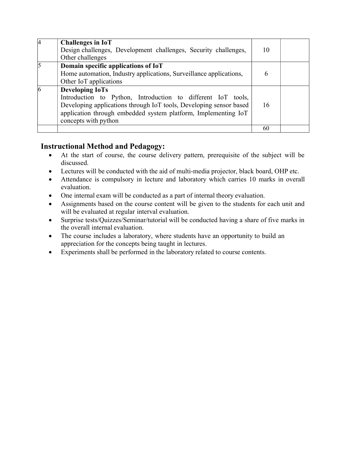|                 | <b>Challenges in IoT</b><br>Design challenges, Development challenges, Security challenges,<br>Other challenges                                                                                                                                        | 10 |  |
|-----------------|--------------------------------------------------------------------------------------------------------------------------------------------------------------------------------------------------------------------------------------------------------|----|--|
| $\overline{5}$  | Domain specific applications of IoT<br>Home automation, Industry applications, Surveillance applications,<br>Other IoT applications                                                                                                                    | 6  |  |
| $\vert 6 \vert$ | <b>Developing IoTs</b><br>Introduction to Python, Introduction to different IoT tools,<br>Developing applications through IoT tools, Developing sensor based<br>application through embedded system platform, Implementing IoT<br>concepts with python | 16 |  |
|                 |                                                                                                                                                                                                                                                        | 60 |  |

### Instructional Method and Pedagogy:

- At the start of course, the course delivery pattern, prerequisite of the subject will be discussed.
- Lectures will be conducted with the aid of multi-media projector, black board, OHP etc.
- Attendance is compulsory in lecture and laboratory which carries 10 marks in overall evaluation.
- One internal exam will be conducted as a part of internal theory evaluation.
- Assignments based on the course content will be given to the students for each unit and will be evaluated at regular interval evaluation.
- Surprise tests/Quizzes/Seminar/tutorial will be conducted having a share of five marks in the overall internal evaluation.
- The course includes a laboratory, where students have an opportunity to build an appreciation for the concepts being taught in lectures.
- Experiments shall be performed in the laboratory related to course contents.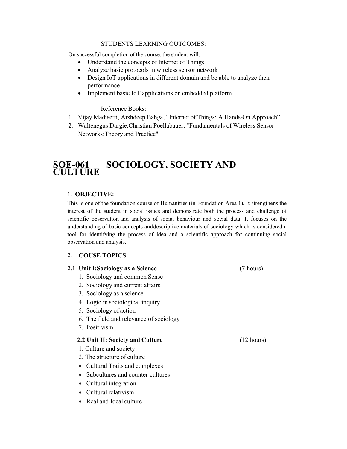#### STUDENTS LEARNING OUTCOMES:

On successful completion of the course, the student will:

- Understand the concepts of Internet of Things
- Analyze basic protocols in wireless sensor network
- Design IoT applications in different domain and be able to analyze their performance
- Implement basic IoT applications on embedded platform

Reference Books:

- 1. Vijay Madisetti, Arshdeep Bahga, "Internet of Things: A Hands-On Approach"
- 2. Waltenegus Dargie,Christian Poellabauer, "Fundamentals of Wireless Sensor Networks: Theory and Practice"

### SOE-061 SOCIOLOGY, SOCIETY AND **CULTURE**

#### 1. OBJECTIVE:

This is one of the foundation course of Humanities (in Foundation Area 1). It strengthens the interest of the student in social issues and demonstrate both the process and challenge of scientific observation and analysis of social behaviour and social data. It focuses on the understanding of basic concepts and descriptive materials of sociology which is considered a tool for identifying the process of idea and a scientific approach for continuing social observation and analysis.

#### 2. COUSE TOPICS:

### 2.1 Unit I:Sociology as a Science (7 hours) 1. Sociology and common Sense 2. Sociology and current affairs

- 3. Sociology as a science
- 4. Logic in sociological inquiry
- 5. Sociology of action
- 6. The field and relevance of sociology
- 7. Positivism

#### 2.2 Unit II: Society and Culture (12 hours)

- 1. Culture and society
- 2. The structure of culture
- Cultural Traits and complexes
- Subcultures and counter cultures
- Cultural integration
- Cultural relativism
- Real and Ideal culture